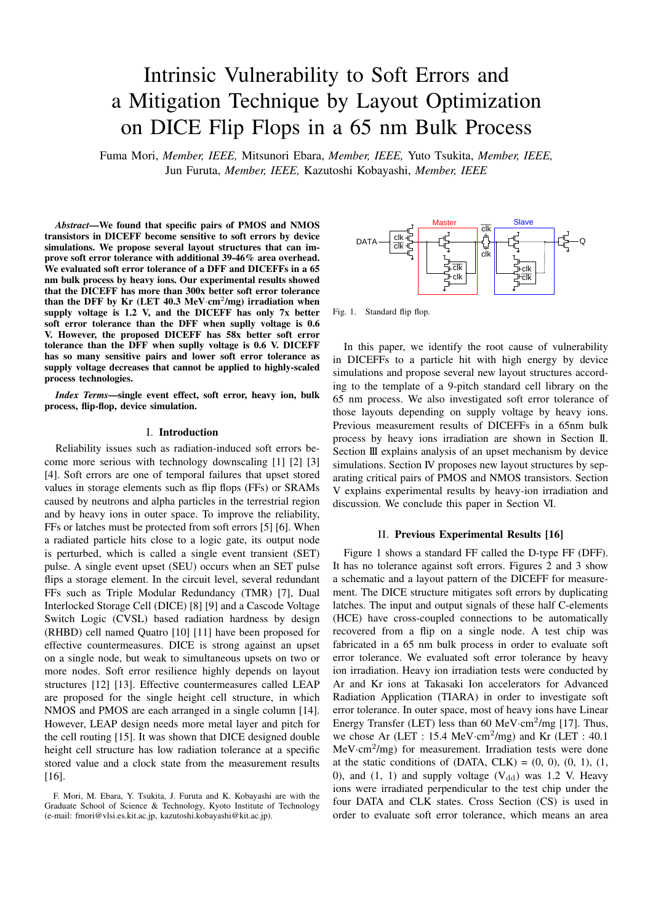# Intrinsic Vulnerability to Soft Errors and a Mitigation Technique by Layout Optimization on DICE Flip Flops in a 65 nm Bulk Process

Fuma Mori, *Member, IEEE,* Mitsunori Ebara, *Member, IEEE,* Yuto Tsukita, *Member, IEEE,* Jun Furuta, *Member, IEEE,* Kazutoshi Kobayashi, *Member, IEEE*

*Abstract*—We found that specific pairs of PMOS and NMOS transistors in DICEFF become sensitive to soft errors by device simulations. We propose several layout structures that can improve soft error tolerance with additional 39-46% area overhead. We evaluated soft error tolerance of a DFF and DICEFFs in a 65 nm bulk process by heavy ions. Our experimental results showed that the DICEFF has more than 300x better soft error tolerance than the DFF by Kr (LET  $40.3 \text{ MeV cm}^2/\text{mg}$ ) irradiation when supply voltage is 1.2 V, and the DICEFF has only 7x better soft error tolerance than the DFF when suplly voltage is 0.6 V. However, the proposed DICEFF has 58x better soft error tolerance than the DFF when suplly voltage is 0.6 V. DICEFF has so many sensitive pairs and lower soft error tolerance as supply voltage decreases that cannot be applied to highly-scaled process technologies.

*Index Terms*—single event effect, soft error, heavy ion, bulk process, flip-flop, device simulation.

#### I. Introduction

Reliability issues such as radiation-induced soft errors become more serious with technology downscaling [1] [2] [3] [4]. Soft errors are one of temporal failures that upset stored values in storage elements such as flip flops (FFs) or SRAMs caused by neutrons and alpha particles in the terrestrial region and by heavy ions in outer space. To improve the reliability, FFs or latches must be protected from soft errors [5] [6]. When a radiated particle hits close to a logic gate, its output node is perturbed, which is called a single event transient (SET) pulse. A single event upset (SEU) occurs when an SET pulse flips a storage element. In the circuit level, several redundant FFs such as Triple Modular Redundancy (TMR) [7], Dual Interlocked Storage Cell (DICE) [8] [9] and a Cascode Voltage Switch Logic (CVSL) based radiation hardness by design (RHBD) cell named Quatro [10] [11] have been proposed for effective countermeasures. DICE is strong against an upset on a single node, but weak to simultaneous upsets on two or more nodes. Soft error resilience highly depends on layout structures [12] [13]. Effective countermeasures called LEAP are proposed for the single height cell structure, in which NMOS and PMOS are each arranged in a single column [14]. However, LEAP design needs more metal layer and pitch for the cell routing [15]. It was shown that DICE designed double height cell structure has low radiation tolerance at a specific stored value and a clock state from the measurement results [16].



Fig. 1. Standard flip flop.

In this paper, we identify the root cause of vulnerability in DICEFFs to a particle hit with high energy by device simulations and propose several new layout structures according to the template of a 9-pitch standard cell library on the 65 nm process. We also investigated soft error tolerance of those layouts depending on supply voltage by heavy ions. Previous measurement results of DICEFFs in a 65nm bulk process by heavy ions irradiation are shown in Section II. Section III explains analysis of an upset mechanism by device simulations. Section IV proposes new layout structures by separating critical pairs of PMOS and NMOS transistors. Section V explains experimental results by heavy-ion irradiation and discussion. We conclude this paper in Section VI.

#### II. Previous Experimental Results [16]

Figure 1 shows a standard FF called the D-type FF (DFF). It has no tolerance against soft errors. Figures 2 and 3 show a schematic and a layout pattern of the DICEFF for measurement. The DICE structure mitigates soft errors by duplicating latches. The input and output signals of these half C-elements (HCE) have cross-coupled connections to be automatically recovered from a flip on a single node. A test chip was fabricated in a 65 nm bulk process in order to evaluate soft error tolerance. We evaluated soft error tolerance by heavy ion irradiation. Heavy ion irradiation tests were conducted by Ar and Kr ions at Takasaki Ion accelerators for Advanced Radiation Application (TIARA) in order to investigate soft error tolerance. In outer space, most of heavy ions have Linear Energy Transfer (LET) less than 60 MeV·cm<sup>2</sup>/mg [17]. Thus, we chose Ar (LET : 15.4 MeV·cm<sup>2</sup>/mg) and Kr (LET : 40.1 MeV*·*cm<sup>2</sup> /mg) for measurement. Irradiation tests were done at the static conditions of  $(DATA, CLK) = (0, 0), (0, 1), (1, 1)$ 0), and (1, 1) and supply voltage  $(V_{dd})$  was 1.2 V. Heavy ions were irradiated perpendicular to the test chip under the four DATA and CLK states. Cross Section (CS) is used in order to evaluate soft error tolerance, which means an area

F. Mori, M. Ebara, Y. Tsukita, J. Furuta and K. Kobayashi are with the Graduate School of Science & Technology, Kyoto Institute of Technology (e-mail: fmori@vlsi.es.kit.ac.jp, kazutoshi.kobayashi@kit.ac.jp).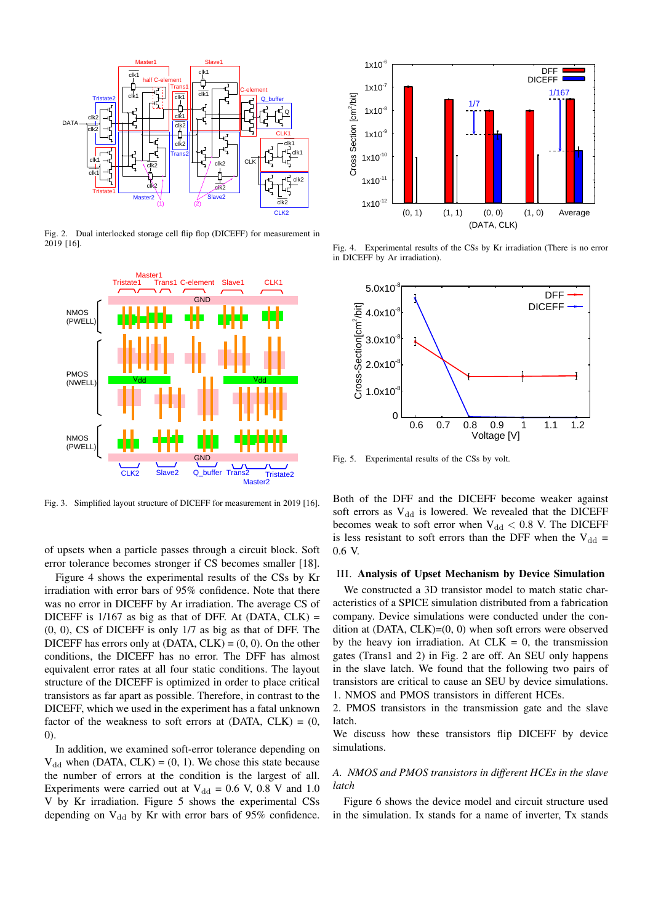

Fig. 2. Dual interlocked storage cell flip flop (DICEFF) for measurement in 2019 [16].



Fig. 3. Simplified layout structure of DICEFF for measurement in 2019 [16].

of upsets when a particle passes through a circuit block. Soft error tolerance becomes stronger if CS becomes smaller [18].

Figure 4 shows the experimental results of the CSs by Kr irradiation with error bars of 95% confidence. Note that there was no error in DICEFF by Ar irradiation. The average CS of DICEFF is  $1/167$  as big as that of DFF. At (DATA, CLK) = (0, 0), CS of DICEFF is only 1/7 as big as that of DFF. The DICEFF has errors only at  $(DATA, CLK) = (0, 0)$ . On the other conditions, the DICEFF has no error. The DFF has almost equivalent error rates at all four static conditions. The layout structure of the DICEFF is optimized in order to place critical transistors as far apart as possible. Therefore, in contrast to the DICEFF, which we used in the experiment has a fatal unknown factor of the weakness to soft errors at  $(DATA, CLK) = (0,$ 0).

In addition, we examined soft-error tolerance depending on  $V_{dd}$  when (DATA, CLK) = (0, 1). We chose this state because the number of errors at the condition is the largest of all. Experiments were carried out at  $V_{dd} = 0.6$  V, 0.8 V and 1.0 V by Kr irradiation. Figure 5 shows the experimental CSs depending on  $V_{dd}$  by Kr with error bars of 95% confidence.



Fig. 4. Experimental results of the CSs by Kr irradiation (There is no error in DICEFF by Ar irradiation).



Fig. 5. Experimental results of the CSs by volt.

Both of the DFF and the DICEFF become weaker against soft errors as  $V_{dd}$  is lowered. We revealed that the DICEFF becomes weak to soft error when  $V_{dd} < 0.8$  V. The DICEFF is less resistant to soft errors than the DFF when the  $V_{dd}$  = 0.6 V.

#### III. Analysis of Upset Mechanism by Device Simulation

We constructed a 3D transistor model to match static characteristics of a SPICE simulation distributed from a fabrication company. Device simulations were conducted under the condition at (DATA, CLK)=(0, 0) when soft errors were observed by the heavy ion irradiation. At  $CLK = 0$ , the transmission gates (Trans1 and 2) in Fig. 2 are off. An SEU only happens in the slave latch. We found that the following two pairs of transistors are critical to cause an SEU by device simulations. 1. NMOS and PMOS transistors in different HCEs.

2. PMOS transistors in the transmission gate and the slave latch.

We discuss how these transistors flip DICEFF by device simulations.

## *A. NMOS and PMOS transistors in different HCEs in the slave latch*

Figure 6 shows the device model and circuit structure used in the simulation. Ix stands for a name of inverter, Tx stands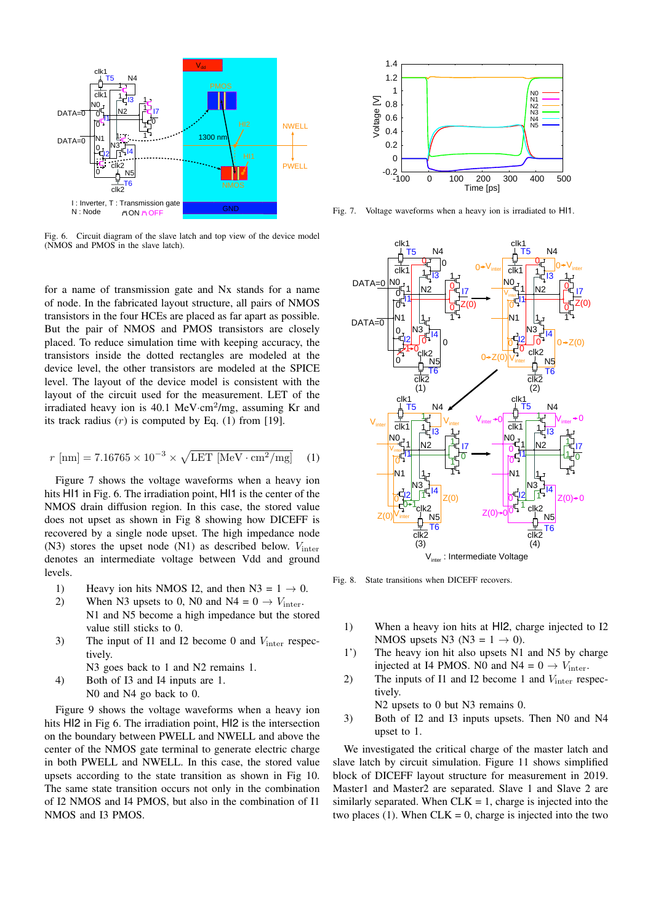

Fig. 6. Circuit diagram of the slave latch and top view of the device model (NMOS and PMOS in the slave latch).

for a name of transmission gate and Nx stands for a name of node. In the fabricated layout structure, all pairs of NMOS transistors in the four HCEs are placed as far apart as possible. But the pair of NMOS and PMOS transistors are closely placed. To reduce simulation time with keeping accuracy, the transistors inside the dotted rectangles are modeled at the device level, the other transistors are modeled at the SPICE level. The layout of the device model is consistent with the layout of the circuit used for the measurement. LET of the irradiated heavy ion is 40.1 MeV·cm<sup>2</sup>/mg, assuming Kr and its track radius (*r*) is computed by Eq. (1) from [19].

$$
r \text{ [nm]} = 7.16765 \times 10^{-3} \times \sqrt{\text{LET [MeV} \cdot \text{cm}^2/\text{mg}]}
$$
 (1)

Figure 7 shows the voltage waveforms when a heavy ion hits HI1 in Fig. 6. The irradiation point, HI1 is the center of the NMOS drain diffusion region. In this case, the stored value does not upset as shown in Fig 8 showing how DICEFF is recovered by a single node upset. The high impedance node (N3) stores the upset node (N1) as described below. *V*inter denotes an intermediate voltage between Vdd and ground levels.

- 1) Heavy ion hits NMOS I2, and then N3 =  $1 \rightarrow 0$ .<br>2) When N3 upsets to 0, N0 and N4 =  $0 \rightarrow V_{\text{inter}}$ .
- When N3 upsets to 0, N0 and  $N4 = 0 \rightarrow V_{inter}$ . N1 and N5 become a high impedance but the stored value still sticks to 0.
- 3) The input of I1 and I2 become 0 and *V*inter respectively.
	- N<sub>3</sub> goes back to 1 and N<sub>2</sub> remains 1.
- 4) Both of I3 and I4 inputs are 1.

N0 and N4 go back to 0.

Figure 9 shows the voltage waveforms when a heavy ion hits HI2 in Fig 6. The irradiation point, HI2 is the intersection on the boundary between PWELL and NWELL and above the center of the NMOS gate terminal to generate electric charge in both PWELL and NWELL. In this case, the stored value upsets according to the state transition as shown in Fig 10. The same state transition occurs not only in the combination of I2 NMOS and I4 PMOS, but also in the combination of I1 NMOS and I3 PMOS.



Fig. 7. Voltage waveforms when a heavy ion is irradiated to HI1.



Fig. 8. State transitions when DICEFF recovers.

- 1) When a heavy ion hits at HI2, charge injected to I2 NMOS upsets N3 ( $N3 = 1 \rightarrow 0$ ).
- 1') The heavy ion hit also upsets N1 and N5 by charge injected at I4 PMOS. N0 and  $N4 = 0 \rightarrow V_{inter}$ .
- 2) The inputs of I1 and I2 become 1 and  $V_{\text{inter}}$  respectively.

N2 upsets to 0 but N3 remains 0.

3) Both of I2 and I3 inputs upsets. Then N0 and N4 upset to 1.

We investigated the critical charge of the master latch and slave latch by circuit simulation. Figure 11 shows simplified block of DICEFF layout structure for measurement in 2019. Master1 and Master2 are separated. Slave 1 and Slave 2 are similarly separated. When  $CLK = 1$ , charge is injected into the two places (1). When  $CLK = 0$ , charge is injected into the two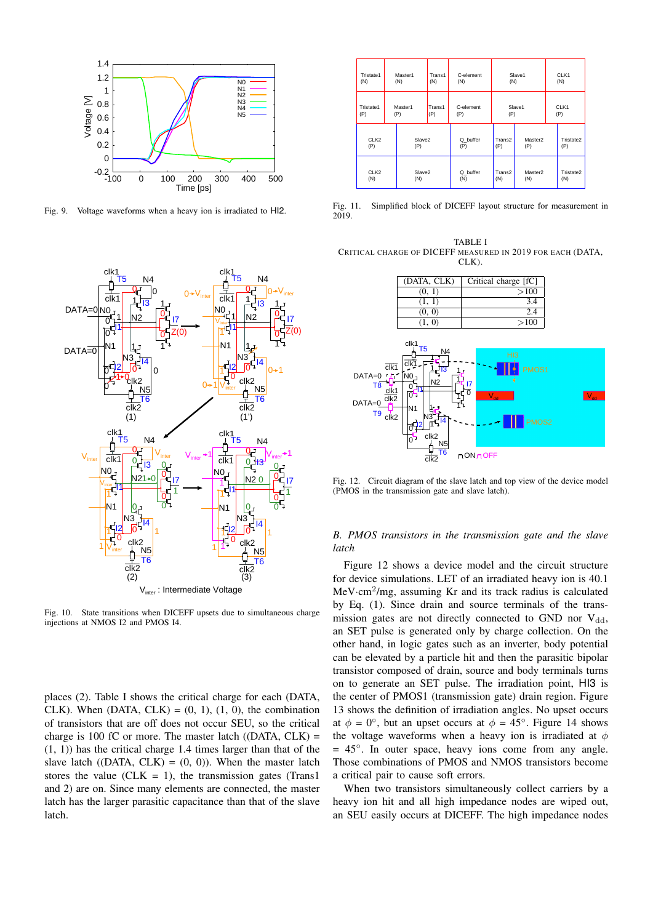

Fig. 9. Voltage waveforms when a heavy ion is irradiated to HI2.



Fig. 10. State transitions when DICEFF upsets due to simultaneous charge injections at NMOS I2 and PMOS I4.

places (2). Table I shows the critical charge for each (DATA, CLK). When (DATA, CLK) =  $(0, 1)$ ,  $(1, 0)$ , the combination of transistors that are off does not occur SEU, so the critical charge is 100 fC or more. The master latch  $($ (DATA, CLK) = (1, 1)) has the critical charge 1.4 times larger than that of the slave latch ((DATA, CLK) =  $(0, 0)$ ). When the master latch stores the value (CLK = 1), the transmission gates (Trans1 and 2) are on. Since many elements are connected, the master latch has the larger parasitic capacitance than that of the slave latch.

| Tristate1                          | Master1 |               | Trans1           | C-element     | Slave1 |             | CLK1 |           |
|------------------------------------|---------|---------------|------------------|---------------|--------|-------------|------|-----------|
| (N)                                | (N)     |               | (N)              | (N)           | (N)    |             | (N)  |           |
| Tristate1<br>Master1<br>(P)<br>(P) |         | Trans1<br>(P) | C-element<br>(P) | Slave1<br>(P) |        | CLK1<br>(P) |      |           |
| CLK <sub>2</sub>                   |         | Slave2        |                  | Q_buffer      | Trans2 | Master2     |      | Tristate2 |
| (P)                                |         | (P)           |                  | (P)           | (P)    | (P)         |      | (P)       |
| CLK <sub>2</sub>                   |         | Slave2        |                  | Q_buffer      | Trans2 | Master2     |      | Tristate2 |
| (N)                                |         | (N)           |                  | (N)           | (N)    | (N)         |      | (N)       |

Fig. 11. Simplified block of DICEFF layout structure for measurement in 2019.

TABLE I CRITICAL CHARGE OF DICEFF MEASURED IN 2019 FOR EACH (DATA, CLK).



Fig. 12. Circuit diagram of the slave latch and top view of the device model (PMOS in the transmission gate and slave latch).

# *B. PMOS transistors in the transmission gate and the slave latch*

Figure 12 shows a device model and the circuit structure for device simulations. LET of an irradiated heavy ion is 40.1 MeV*·*cm<sup>2</sup> /mg, assuming Kr and its track radius is calculated by Eq. (1). Since drain and source terminals of the transmission gates are not directly connected to GND nor  $V_{dd}$ , an SET pulse is generated only by charge collection. On the other hand, in logic gates such as an inverter, body potential can be elevated by a particle hit and then the parasitic bipolar transistor composed of drain, source and body terminals turns on to generate an SET pulse. The irradiation point, HI3 is the center of PMOS1 (transmission gate) drain region. Figure 13 shows the definition of irradiation angles. No upset occurs at  $\phi = 0^\circ$ , but an upset occurs at  $\phi = 45^\circ$ . Figure 14 shows the voltage waveforms when a heavy ion is irradiated at *ϕ* = 45*◦* . In outer space, heavy ions come from any angle. Those combinations of PMOS and NMOS transistors become a critical pair to cause soft errors.

When two transistors simultaneously collect carriers by a heavy ion hit and all high impedance nodes are wiped out, an SEU easily occurs at DICEFF. The high impedance nodes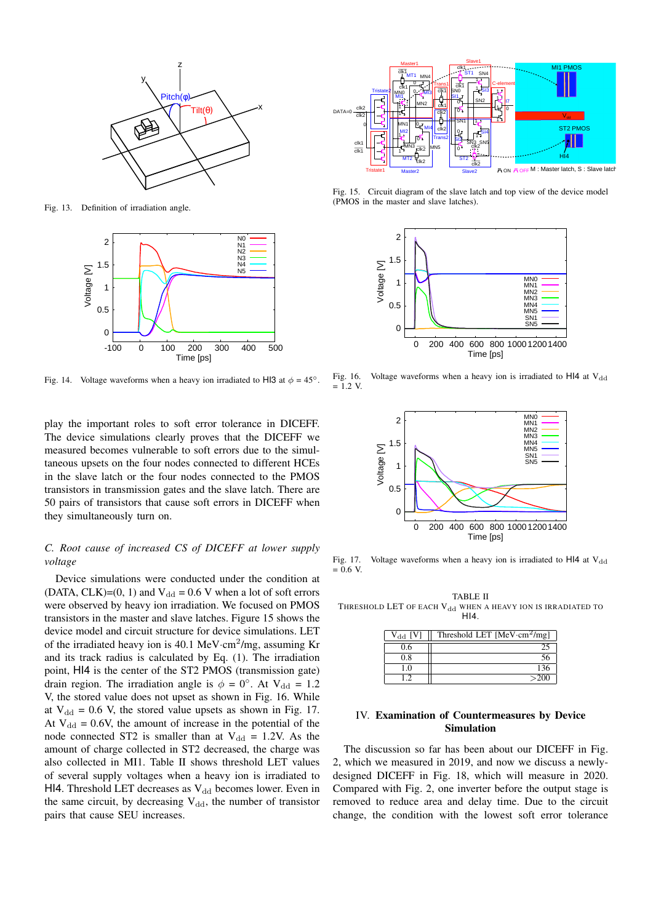

Fig. 13. Definition of irradiation angle.



Fig. 14. Voltage waveforms when a heavy ion irradiated to HI3 at  $\phi = 45^\circ$ .

play the important roles to soft error tolerance in DICEFF. The device simulations clearly proves that the DICEFF we measured becomes vulnerable to soft errors due to the simultaneous upsets on the four nodes connected to different HCEs in the slave latch or the four nodes connected to the PMOS transistors in transmission gates and the slave latch. There are 50 pairs of transistors that cause soft errors in DICEFF when they simultaneously turn on.

# *C. Root cause of increased CS of DICEFF at lower supply voltage*

Device simulations were conducted under the condition at (DATA, CLK)=(0, 1) and  $V_{dd} = 0.6 V$  when a lot of soft errors were observed by heavy ion irradiation. We focused on PMOS transistors in the master and slave latches. Figure 15 shows the device model and circuit structure for device simulations. LET of the irradiated heavy ion is 40.1 MeV·cm<sup>2</sup>/mg, assuming Kr and its track radius is calculated by Eq. (1). The irradiation point, HI4 is the center of the ST2 PMOS (transmission gate) drain region. The irradiation angle is  $\phi = 0^\circ$ . At V<sub>dd</sub> = 1.2 V, the stored value does not upset as shown in Fig. 16. While at  $V_{dd} = 0.6$  V, the stored value upsets as shown in Fig. 17. At  $V_{dd} = 0.6V$ , the amount of increase in the potential of the node connected ST2 is smaller than at  $V_{dd} = 1.2V$ . As the amount of charge collected in ST2 decreased, the charge was also collected in MI1. Table II shows threshold LET values of several supply voltages when a heavy ion is irradiated to HI4. Threshold LET decreases as  $V_{dd}$  becomes lower. Even in the same circuit, by decreasing  $V_{dd}$ , the number of transistor pairs that cause SEU increases.



Fig. 15. Circuit diagram of the slave latch and top view of the device model (PMOS in the master and slave latches).



Voltage waveforms when a heavy ion is irradiated to HI4 at  $V_{dd}$ Fig. 16.<br>=  $1.2$  V.



Fig. 17. Voltage waveforms when a heavy ion is irradiated to  $H14$  at  $V_{dd}$  $= 0.6$  V.

TABLE II THRESHOLD LET OF EACH  $V_{dd}$  when a heavy ion is irradiated to HI4.

| IV1<br>Vaa | Threshold LET $[MeV \cdot cm^2/mg]$ |
|------------|-------------------------------------|
| 0.6        |                                     |
| 0.8        |                                     |
| 10         | 136                                 |
| 19         | >200                                |

## IV. Examination of Countermeasures by Device Simulation

The discussion so far has been about our DICEFF in Fig. 2, which we measured in 2019, and now we discuss a newlydesigned DICEFF in Fig. 18, which will measure in 2020. Compared with Fig. 2, one inverter before the output stage is removed to reduce area and delay time. Due to the circuit change, the condition with the lowest soft error tolerance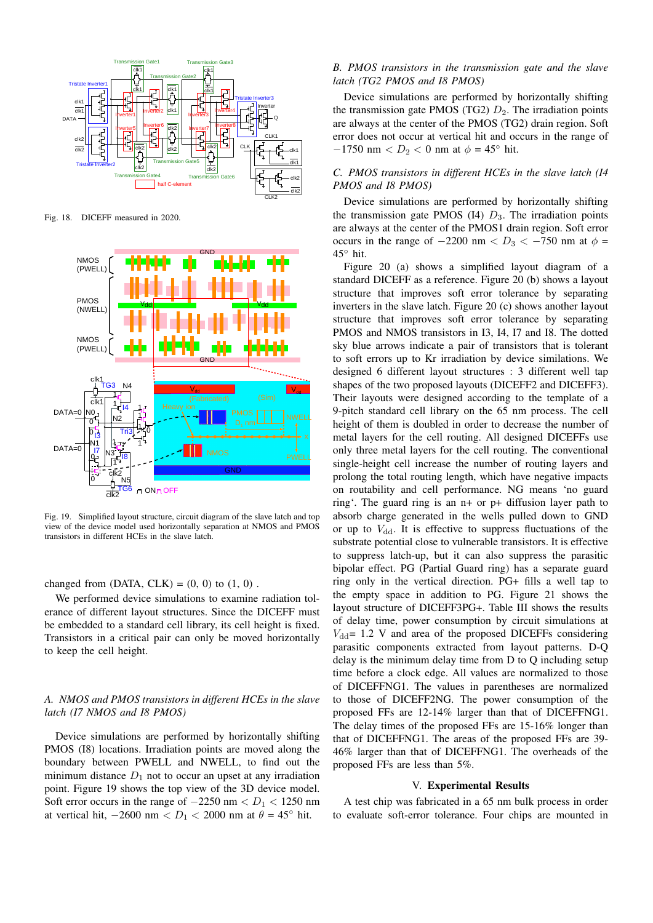

Fig. 18. DICEFF measured in 2020.



Fig. 19. Simplified layout structure, circuit diagram of the slave latch and top view of the device model used horizontally separation at NMOS and PMOS transistors in different HCEs in the slave latch.

changed from (DATA,  $CLK$ ) = (0, 0) to (1, 0).

We performed device simulations to examine radiation tolerance of different layout structures. Since the DICEFF must be embedded to a standard cell library, its cell height is fixed. Transistors in a critical pair can only be moved horizontally to keep the cell height.

# *A. NMOS and PMOS transistors in different HCEs in the slave latch (I7 NMOS and I8 PMOS)*

Device simulations are performed by horizontally shifting PMOS (I8) locations. Irradiation points are moved along the boundary between PWELL and NWELL, to find out the minimum distance  $D_1$  not to occur an upset at any irradiation point. Figure 19 shows the top view of the 3D device model. Soft error occurs in the range of  $-2250$  nm  $\lt D_1$   $\lt 1250$  nm at vertical hit,  $-2600 \text{ nm} < D_1 < 2000 \text{ nm}$  at  $\theta = 45^\circ \text{ hit}$ .

# *B. PMOS transistors in the transmission gate and the slave latch (TG2 PMOS and I8 PMOS)*

Device simulations are performed by horizontally shifting the transmission gate PMOS (TG2)  $D_2$ . The irradiation points are always at the center of the PMOS (TG2) drain region. Soft error does not occur at vertical hit and occurs in the range of *−*1750 nm *< D*<sup>2</sup> *<* 0 nm at *ϕ* = 45*◦* hit.

# *C. PMOS transistors in different HCEs in the slave latch (I4 PMOS and I8 PMOS)*

Device simulations are performed by horizontally shifting the transmission gate PMOS  $(14)$   $D_3$ . The irradiation points are always at the center of the PMOS1 drain region. Soft error occurs in the range of  $-2200 \text{ nm} < D_3 < -750 \text{ nm}$  at  $\phi =$ 45*◦* hit.

Figure 20 (a) shows a simplified layout diagram of a standard DICEFF as a reference. Figure 20 (b) shows a layout structure that improves soft error tolerance by separating inverters in the slave latch. Figure 20 (c) shows another layout structure that improves soft error tolerance by separating PMOS and NMOS transistors in I3, I4, I7 and I8. The dotted sky blue arrows indicate a pair of transistors that is tolerant to soft errors up to Kr irradiation by device similations. We designed 6 different layout structures : 3 different well tap shapes of the two proposed layouts (DICEFF2 and DICEFF3). Their layouts were designed according to the template of a 9-pitch standard cell library on the 65 nm process. The cell height of them is doubled in order to decrease the number of metal layers for the cell routing. All designed DICEFFs use only three metal layers for the cell routing. The conventional single-height cell increase the number of routing layers and prolong the total routing length, which have negative impacts on routability and cell performance. NG means 'no guard ring'. The guard ring is an n+ or p+ diffusion layer path to absorb charge generated in the wells pulled down to GND or up to  $V_{dd}$ . It is effective to suppress fluctuations of the substrate potential close to vulnerable transistors. It is effective to suppress latch-up, but it can also suppress the parasitic bipolar effect. PG (Partial Guard ring) has a separate guard ring only in the vertical direction. PG+ fills a well tap to the empty space in addition to PG. Figure 21 shows the layout structure of DICEFF3PG+. Table III shows the results of delay time, power consumption by circuit simulations at  $V_{dd}$  = 1.2 V and area of the proposed DICEFFs considering parasitic components extracted from layout patterns. D-Q delay is the minimum delay time from D to Q including setup time before a clock edge. All values are normalized to those of DICEFFNG1. The values in parentheses are normalized to those of DICEFF2NG. The power consumption of the proposed FFs are 12-14% larger than that of DICEFFNG1. The delay times of the proposed FFs are 15-16% longer than that of DICEFFNG1. The areas of the proposed FFs are 39- 46% larger than that of DICEFFNG1. The overheads of the proposed FFs are less than 5%.

#### V. Experimental Results

A test chip was fabricated in a 65 nm bulk process in order to evaluate soft-error tolerance. Four chips are mounted in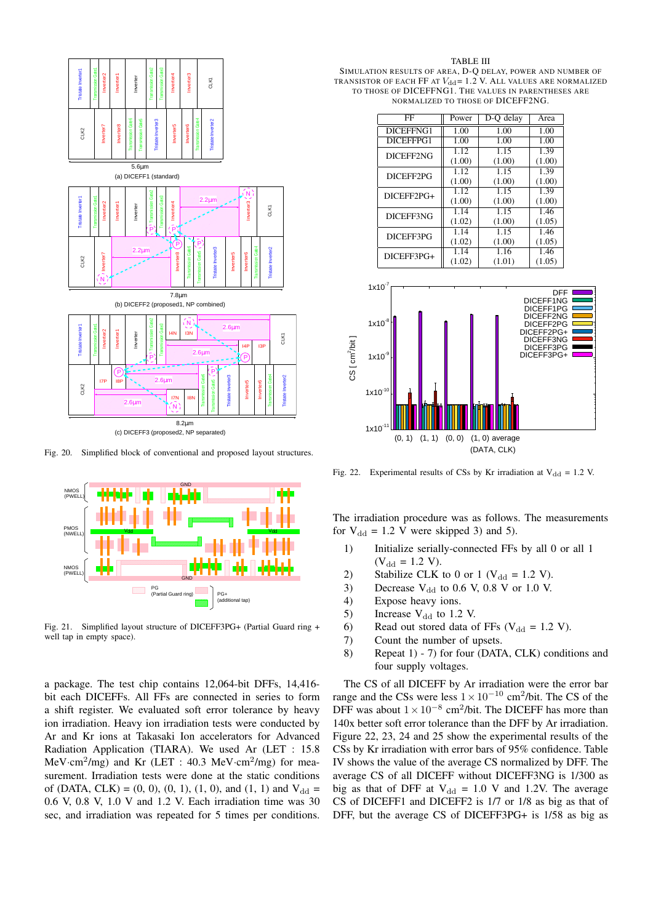

Fig. 20. Simplified block of conventional and proposed layout structures.



Fig. 21. Simplified layout structure of DICEFF3PG+ (Partial Guard ring + well tap in empty space).

a package. The test chip contains 12,064-bit DFFs, 14,416 bit each DICEFFs. All FFs are connected in series to form a shift register. We evaluated soft error tolerance by heavy ion irradiation. Heavy ion irradiation tests were conducted by Ar and Kr ions at Takasaki Ion accelerators for Advanced Radiation Application (TIARA). We used Ar (LET : 15.8 MeV*·*cm<sup>2</sup> /mg) and Kr (LET : 40.3 MeV*·*cm<sup>2</sup> /mg) for measurement. Irradiation tests were done at the static conditions of (DATA, CLK) =  $(0, 0)$ ,  $(0, 1)$ ,  $(1, 0)$ , and  $(1, 1)$  and  $V_{dd}$  = 0.6 V, 0.8 V, 1.0 V and 1.2 V. Each irradiation time was 30 sec, and irradiation was repeated for 5 times per conditions.

SIMULATION RESULTS OF AREA, D-Q DELAY, POWER AND NUMBER OF TRANSISTOR OF EACH FF AT  $V_{dd}$  = 1.2 V. ALL VALUES ARE NORMALIZED TO THOSE OF DICEFFNG1. THE VALUES IN PARENTHESES ARE NORMALIZED TO THOSE OF DICEFF2NG.

| FF         | Power  | D-O delay | Area   |
|------------|--------|-----------|--------|
| DICEFFNG1  | 1.00   | 1.00      | 1.00   |
| DICEFFPG1  | 1.00   | 1.00      | 1.00   |
| DICEFF2NG  | 1.12   | 1.15      | 1.39   |
|            | (1.00) | (1.00)    | (1.00) |
| DICEFF2PG  | 1.12   | 1.15      | 1.39   |
|            | (1.00) | (1.00)    | (1.00) |
| DICEFF2PG+ | 1.12   | 1.15      | 1.39   |
|            | (1.00) | (1.00)    | (1.00) |
| DICEFF3NG  | 1.14   | 1.15      | 1.46   |
|            | (1.02) | (1.00)    | (1.05) |
| DICEFF3PG  | 1.14   | 1.15      | 1.46   |
|            | (1.02) | (1.00)    | (1.05) |
| DICEFF3PG+ | 1.14   | 1.16      | 1.46   |
|            | (1.02) | (1.01)    | (1.05) |



Fig. 22. Experimental results of CSs by Kr irradiation at  $V_{dd} = 1.2$  V.

The irradiation procedure was as follows. The measurements for  $V_{dd} = 1.2$  V were skipped 3) and 5).

- 1) Initialize serially-connected FFs by all 0 or all 1  $(V_{dd} = 1.2 V).$
- 2) Stabilize CLK to 0 or 1 ( $V_{dd} = 1.2$  V).
- 3) Decrease  $V_{dd}$  to 0.6 V, 0.8 V or 1.0 V.
- 4) Expose heavy ions.
- 5) Increase  $V_{dd}$  to 1.2 V.
- 6) Read out stored data of FFs ( $V_{dd} = 1.2$  V).<br>
7) Count the number of upsets.
- Count the number of upsets.
- 8) Repeat 1) 7) for four (DATA, CLK) conditions and four supply voltages.

The CS of all DICEFF by Ar irradiation were the error bar range and the CSs were less  $1 \times 10^{-10}$  cm<sup>2</sup>/bit. The CS of the DFF was about <sup>1</sup>*×*10*−*<sup>8</sup> cm<sup>2</sup> /bit. The DICEFF has more than 140x better soft error tolerance than the DFF by Ar irradiation. Figure 22, 23, 24 and 25 show the experimental results of the CSs by Kr irradiation with error bars of 95% confidence. Table IV shows the value of the average CS normalized by DFF. The average CS of all DICEFF without DICEFF3NG is 1/300 as big as that of DFF at  $V_{dd} = 1.0$  V and 1.2V. The average CS of DICEFF1 and DICEFF2 is 1/7 or 1/8 as big as that of DFF, but the average CS of DICEFF3PG+ is 1/58 as big as

#### TABLE III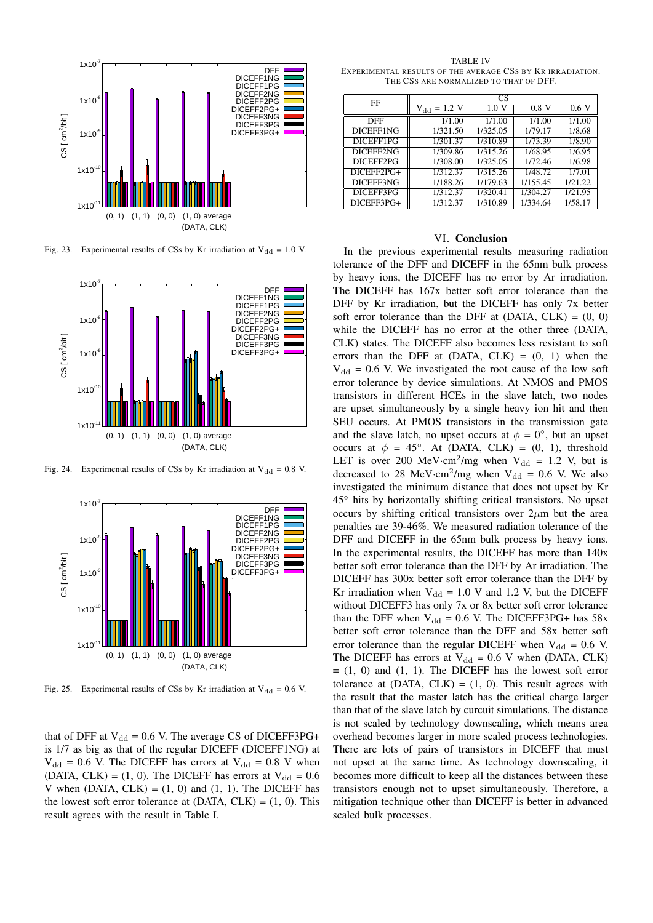

Fig. 23. Experimental results of CSs by Kr irradiation at  $V_{dd} = 1.0 V$ .



Fig. 24. Experimental results of CSs by Kr irradiation at  $V_{dd} = 0.8$  V.



Fig. 25. Experimental results of CSs by Kr irradiation at  $V_{dd} = 0.6$  V.

that of DFF at  $V_{dd} = 0.6$  V. The average CS of DICEFF3PG+ is 1/7 as big as that of the regular DICEFF (DICEFF1NG) at  $V_{dd}$  = 0.6 V. The DICEFF has errors at  $V_{dd}$  = 0.8 V when (DATA, CLK) = (1, 0). The DICEFF has errors at  $V_{dd} = 0.6$ V when (DATA,  $CLK$ ) = (1, 0) and (1, 1). The DICEFF has the lowest soft error tolerance at  $(DATA, CLK) = (1, 0)$ . This result agrees with the result in Table I.

TABLE IV EXPERIMENTAL RESULTS OF THE AVERAGE CSS BY KR IRRADIATION. THE CSS ARE NORMALIZED TO THAT OF DFF.

| FF           | CS               |          |          |         |  |  |
|--------------|------------------|----------|----------|---------|--|--|
|              | $V_{dd} = 1.2 V$ | 1.0      | $0.8$ V  | 0.6V    |  |  |
| <b>DFF</b>   | 1/1.00           | 1/1.00   | 1/1.00   | 1/1.00  |  |  |
| DICEFF1NG    | 1/321.50         | 1/325.05 | 1/79.17  | 1/8.68  |  |  |
| DICEFF1PG    | 1/301.37         | 1/310.89 | 1/73.39  | 1/8.90  |  |  |
| DICEFF2NG    | 1/309.86         | 1/315.26 | 1/68.95  | 1/6.95  |  |  |
| DICEFF2PG    | 1/308.00         | 1/325.05 | 1/72.46  | 1/6.98  |  |  |
| $DICEFF2PG+$ | 1/312.37         | 1/315.26 | 1/48.72  | 1/7.01  |  |  |
| DICEFF3NG    | 1/188.26         | 1/179.63 | 1/155.45 | 1/21.22 |  |  |
| DICEFF3PG    | 1/312.37         | 1/320.41 | 1/304.27 | 1/21.95 |  |  |
| DICEFF3PG+   | 1/312.37         | 1/310.89 | 1/334.64 | 1/58.17 |  |  |

#### VI. Conclusion

In the previous experimental results measuring radiation tolerance of the DFF and DICEFF in the 65nm bulk process by heavy ions, the DICEFF has no error by Ar irradiation. The DICEFF has 167x better soft error tolerance than the DFF by Kr irradiation, but the DICEFF has only 7x better soft error tolerance than the DFF at  $(DATA, CLK) = (0, 0)$ while the DICEFF has no error at the other three (DATA, CLK) states. The DICEFF also becomes less resistant to soft errors than the DFF at  $(DATA, CLK) = (0, 1)$  when the  $V_{\rm dd}$  = 0.6 V. We investigated the root cause of the low soft error tolerance by device simulations. At NMOS and PMOS transistors in different HCEs in the slave latch, two nodes are upset simultaneously by a single heavy ion hit and then SEU occurs. At PMOS transistors in the transmission gate and the slave latch, no upset occurs at  $\phi = 0^\circ$ , but an upset occurs at  $\phi = 45^\circ$ . At (DATA, CLK) = (0, 1), threshold LET is over 200 MeV·cm<sup>2</sup>/mg when  $V_{dd} = 1.2$  V, but is decreased to 28 MeV·cm<sup>2</sup>/mg when  $V_{dd} = 0.6$  V. We also investigated the minimum distance that does not upset by Kr 45*◦* hits by horizontally shifting critical transistors. No upset occurs by shifting critical transistors over  $2\mu$ m but the area penalties are 39-46%. We measured radiation tolerance of the DFF and DICEFF in the 65nm bulk process by heavy ions. In the experimental results, the DICEFF has more than 140x better soft error tolerance than the DFF by Ar irradiation. The DICEFF has 300x better soft error tolerance than the DFF by Kr irradiation when  $V_{dd} = 1.0 V$  and 1.2 V, but the DICEFF without DICEFF3 has only 7x or 8x better soft error tolerance than the DFF when  $V_{dd} = 0.6$  V. The DICEFF3PG+ has 58x better soft error tolerance than the DFF and 58x better soft error tolerance than the regular DICEFF when  $V_{dd} = 0.6$  V. The DICEFF has errors at  $V_{dd} = 0.6$  V when (DATA, CLK)  $= (1, 0)$  and  $(1, 1)$ . The DICEFF has the lowest soft error tolerance at  $(DATA, CLK) = (1, 0)$ . This result agrees with the result that the master latch has the critical charge larger than that of the slave latch by curcuit simulations. The distance is not scaled by technology downscaling, which means area overhead becomes larger in more scaled process technologies. There are lots of pairs of transistors in DICEFF that must not upset at the same time. As technology downscaling, it becomes more difficult to keep all the distances between these transistors enough not to upset simultaneously. Therefore, a mitigation technique other than DICEFF is better in advanced scaled bulk processes.